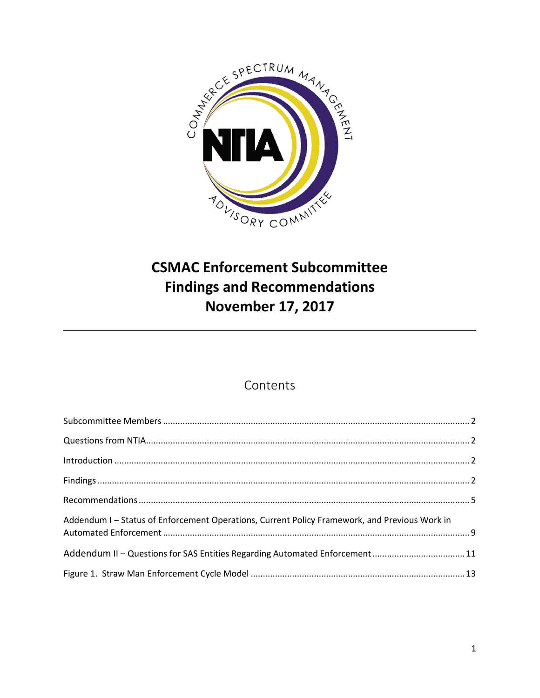

# **CSMAC Enforcement Subcommittee Findings and Recommendations November 17, 2017**

# Contents

| Addendum I - Status of Enforcement Operations, Current Policy Framework, and Previous Work in |  |
|-----------------------------------------------------------------------------------------------|--|
|                                                                                               |  |
|                                                                                               |  |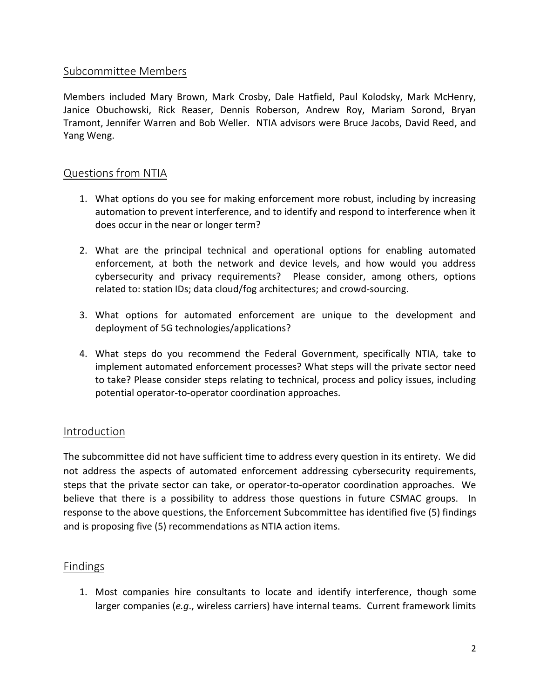### <span id="page-1-0"></span>Subcommittee Members

Members included Mary Brown, Mark Crosby, Dale Hatfield, Paul Kolodsky, Mark McHenry, Janice Obuchowski, Rick Reaser, Dennis Roberson, Andrew Roy, Mariam Sorond, Bryan Tramont, Jennifer Warren and Bob Weller. NTIA advisors were Bruce Jacobs, David Reed, and Yang Weng.

### <span id="page-1-1"></span>Questions from NTIA

- 1. What options do you see for making enforcement more robust, including by increasing automation to prevent interference, and to identify and respond to interference when it does occur in the near or longer term?
- 2. What are the principal technical and operational options for enabling automated enforcement, at both the network and device levels, and how would you address cybersecurity and privacy requirements? Please consider, among others, options related to: station IDs; data cloud/fog architectures; and crowd-sourcing.
- 3. What options for automated enforcement are unique to the development and deployment of 5G technologies/applications?
- 4. What steps do you recommend the Federal Government, specifically NTIA, take to implement automated enforcement processes? What steps will the private sector need to take? Please consider steps relating to technical, process and policy issues, including potential operator-to-operator coordination approaches.

### <span id="page-1-2"></span>Introduction

The subcommittee did not have sufficient time to address every question in its entirety. We did not address the aspects of automated enforcement addressing cybersecurity requirements, steps that the private sector can take, or operator-to-operator coordination approaches. We believe that there is a possibility to address those questions in future CSMAC groups. In response to the above questions, the Enforcement Subcommittee has identified five (5) findings and is proposing five (5) recommendations as NTIA action items.

### <span id="page-1-3"></span>Findings

1. Most companies hire consultants to locate and identify interference, though some larger companies (*e.g*., wireless carriers) have internal teams. Current framework limits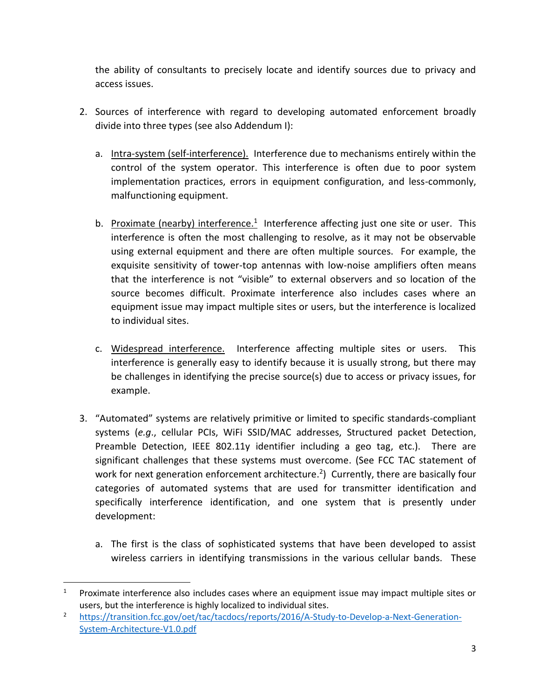the ability of consultants to precisely locate and identify sources due to privacy and access issues.

- 2. Sources of interference with regard to developing automated enforcement broadly divide into three types (see also Addendum I):
	- a. Intra-system (self-interference). Interference due to mechanisms entirely within the control of the system operator. This interference is often due to poor system implementation practices, errors in equipment configuration, and less-commonly, malfunctioning equipment.
	- b. Proximate (nearby) interference.<sup>1</sup> Interference affecting just one site or user. This interference is often the most challenging to resolve, as it may not be observable using external equipment and there are often multiple sources. For example, the exquisite sensitivity of tower-top antennas with low-noise amplifiers often means that the interference is not "visible" to external observers and so location of the source becomes difficult. Proximate interference also includes cases where an equipment issue may impact multiple sites or users, but the interference is localized to individual sites.
	- c. Widespread interference. Interference affecting multiple sites or users. This interference is generally easy to identify because it is usually strong, but there may be challenges in identifying the precise source(s) due to access or privacy issues, for example.
- 3. "Automated" systems are relatively primitive or limited to specific standards-compliant systems (*e.g*., cellular PCIs, WiFi SSID/MAC addresses, Structured packet Detection, Preamble Detection, IEEE 802.11y identifier including a geo tag, etc.). There are significant challenges that these systems must overcome. (See FCC TAC statement of work for next generation enforcement architecture.<sup>2</sup>) Currently, there are basically four categories of automated systems that are used for transmitter identification and specifically interference identification, and one system that is presently under development:
	- a. The first is the class of sophisticated systems that have been developed to assist wireless carriers in identifying transmissions in the various cellular bands. These

l

<sup>1</sup> Proximate interference also includes cases where an equipment issue may impact multiple sites or users, but the interference is highly localized to individual sites.

<sup>&</sup>lt;sup>2</sup> [https://transition.fcc.gov/oet/tac/tacdocs/reports/2016/A-Study-to-Develop-a-Next-Generation-](https://transition.fcc.gov/oet/tac/tacdocs/reports/2016/A-Study-to-Develop-a-Next-Generation-System-Architecture-V1.0.pdf)[System-Architecture-V1.0.pdf](https://transition.fcc.gov/oet/tac/tacdocs/reports/2016/A-Study-to-Develop-a-Next-Generation-System-Architecture-V1.0.pdf)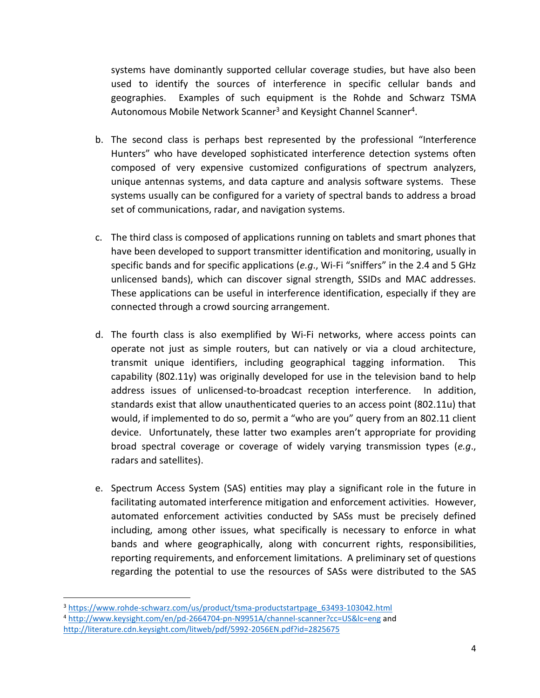systems have dominantly supported cellular coverage studies, but have also been used to identify the sources of interference in specific cellular bands and geographies. Examples of such equipment is the Rohde and Schwarz TSMA Autonomous Mobile Network Scanner<sup>3</sup> and Keysight Channel Scanner<sup>4</sup>.

- b. The second class is perhaps best represented by the professional "Interference Hunters" who have developed sophisticated interference detection systems often composed of very expensive customized configurations of spectrum analyzers, unique antennas systems, and data capture and analysis software systems. These systems usually can be configured for a variety of spectral bands to address a broad set of communications, radar, and navigation systems.
- c. The third class is composed of applications running on tablets and smart phones that have been developed to support transmitter identification and monitoring, usually in specific bands and for specific applications (*e.g*., Wi-Fi "sniffers" in the 2.4 and 5 GHz unlicensed bands), which can discover signal strength, SSIDs and MAC addresses. These applications can be useful in interference identification, especially if they are connected through a crowd sourcing arrangement.
- d. The fourth class is also exemplified by Wi-Fi networks, where access points can operate not just as simple routers, but can natively or via a cloud architecture, transmit unique identifiers, including geographical tagging information. This capability (802.11y) was originally developed for use in the television band to help address issues of unlicensed-to-broadcast reception interference. In addition, standards exist that allow unauthenticated queries to an access point (802.11u) that would, if implemented to do so, permit a "who are you" query from an 802.11 client device. Unfortunately, these latter two examples aren't appropriate for providing broad spectral coverage or coverage of widely varying transmission types (*e.g*., radars and satellites).
- e. Spectrum Access System (SAS) entities may play a significant role in the future in facilitating automated interference mitigation and enforcement activities. However, automated enforcement activities conducted by SASs must be precisely defined including, among other issues, what specifically is necessary to enforce in what bands and where geographically, along with concurrent rights, responsibilities, reporting requirements, and enforcement limitations. A preliminary set of questions regarding the potential to use the resources of SASs were distributed to the SAS

 $\overline{a}$ 

<sup>&</sup>lt;sup>3</sup> [https://www.rohde-schwarz.com/us/product/tsma-productstartpage\\_63493-103042.html](https://www.rohde-schwarz.com/us/product/tsma-productstartpage_63493-103042.html)

<sup>4</sup> <http://www.keysight.com/en/pd-2664704-pn-N9951A/channel-scanner?cc=US&lc=eng> and <http://literature.cdn.keysight.com/litweb/pdf/5992-2056EN.pdf?id=2825675>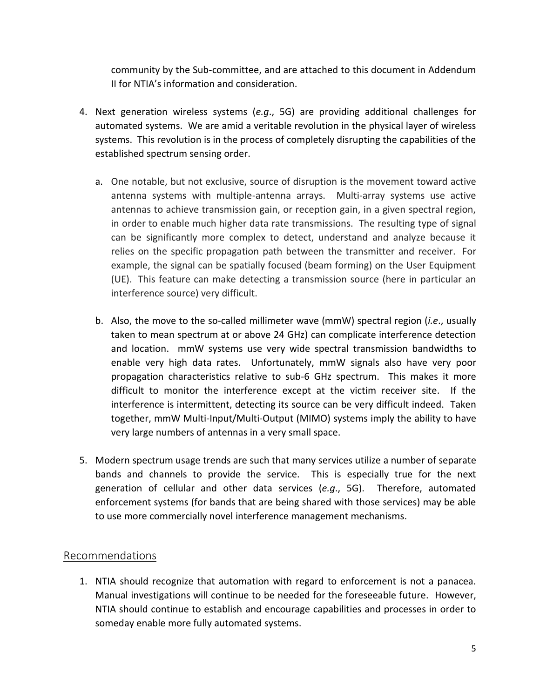community by the Sub-committee, and are attached to this document in Addendum II for NTIA's information and consideration.

- 4. Next generation wireless systems (*e.g*., 5G) are providing additional challenges for automated systems. We are amid a veritable revolution in the physical layer of wireless systems. This revolution is in the process of completely disrupting the capabilities of the established spectrum sensing order.
	- a. One notable, but not exclusive, source of disruption is the movement toward active antenna systems with multiple-antenna arrays. Multi-array systems use active antennas to achieve transmission gain, or reception gain, in a given spectral region, in order to enable much higher data rate transmissions. The resulting type of signal can be significantly more complex to detect, understand and analyze because it relies on the specific propagation path between the transmitter and receiver. For example, the signal can be spatially focused (beam forming) on the User Equipment (UE). This feature can make detecting a transmission source (here in particular an interference source) very difficult.
	- b. Also, the move to the so-called millimeter wave (mmW) spectral region (*i.e*., usually taken to mean spectrum at or above 24 GHz) can complicate interference detection and location. mmW systems use very wide spectral transmission bandwidths to enable very high data rates. Unfortunately, mmW signals also have very poor propagation characteristics relative to sub-6 GHz spectrum. This makes it more difficult to monitor the interference except at the victim receiver site. If the interference is intermittent, detecting its source can be very difficult indeed. Taken together, mmW Multi-Input/Multi-Output (MIMO) systems imply the ability to have very large numbers of antennas in a very small space.
- 5. Modern spectrum usage trends are such that many services utilize a number of separate bands and channels to provide the service. This is especially true for the next generation of cellular and other data services (*e.g*., 5G). Therefore, automated enforcement systems (for bands that are being shared with those services) may be able to use more commercially novel interference management mechanisms.

### <span id="page-4-0"></span>Recommendations

1. NTIA should recognize that automation with regard to enforcement is not a panacea. Manual investigations will continue to be needed for the foreseeable future. However, NTIA should continue to establish and encourage capabilities and processes in order to someday enable more fully automated systems.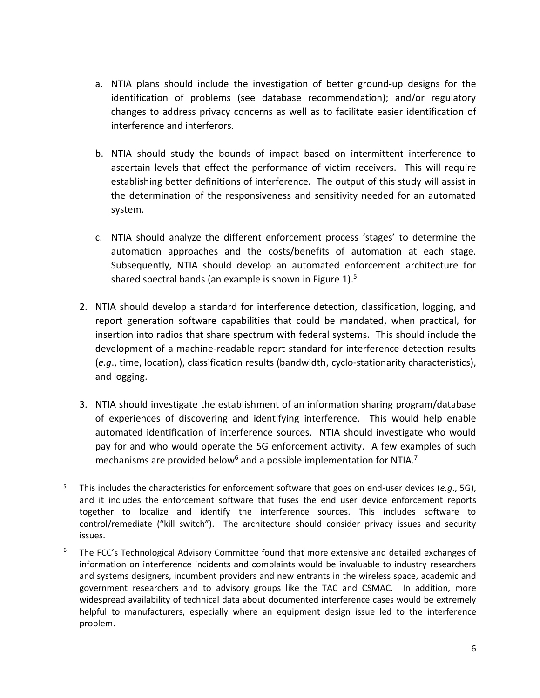- a. NTIA plans should include the investigation of better ground-up designs for the identification of problems (see database recommendation); and/or regulatory changes to address privacy concerns as well as to facilitate easier identification of interference and interferors.
- b. NTIA should study the bounds of impact based on intermittent interference to ascertain levels that effect the performance of victim receivers. This will require establishing better definitions of interference. The output of this study will assist in the determination of the responsiveness and sensitivity needed for an automated system.
- c. NTIA should analyze the different enforcement process 'stages' to determine the automation approaches and the costs/benefits of automation at each stage. Subsequently, NTIA should develop an automated enforcement architecture for shared spectral bands (an example is shown in Figure 1).<sup>5</sup>
- 2. NTIA should develop a standard for interference detection, classification, logging, and report generation software capabilities that could be mandated, when practical, for insertion into radios that share spectrum with federal systems. This should include the development of a machine-readable report standard for interference detection results (*e.g*., time, location), classification results (bandwidth, cyclo-stationarity characteristics), and logging.
- 3. NTIA should investigate the establishment of an information sharing program/database of experiences of discovering and identifying interference. This would help enable automated identification of interference sources. NTIA should investigate who would pay for and who would operate the 5G enforcement activity. A few examples of such mechanisms are provided below<sup>6</sup> and a possible implementation for NTIA.<sup>7</sup>

 $\overline{\phantom{a}}$ <sup>5</sup> This includes the characteristics for enforcement software that goes on end-user devices (*e.g*., 5G), and it includes the enforcement software that fuses the end user device enforcement reports together to localize and identify the interference sources. This includes software to control/remediate ("kill switch"). The architecture should consider privacy issues and security issues.

<sup>&</sup>lt;sup>6</sup> The FCC's Technological Advisory Committee found that more extensive and detailed exchanges of information on interference incidents and complaints would be invaluable to industry researchers and systems designers, incumbent providers and new entrants in the wireless space, academic and government researchers and to advisory groups like the TAC and CSMAC. In addition, more widespread availability of technical data about documented interference cases would be extremely helpful to manufacturers, especially where an equipment design issue led to the interference problem.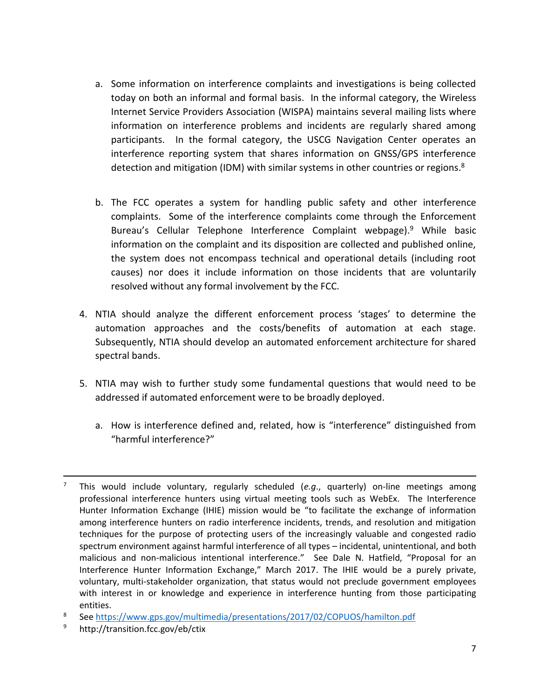- a. Some information on interference complaints and investigations is being collected today on both an informal and formal basis. In the informal category, the Wireless Internet Service Providers Association (WISPA) maintains several mailing lists where information on interference problems and incidents are regularly shared among participants. In the formal category, the USCG Navigation Center operates an interference reporting system that shares information on GNSS/GPS interference detection and mitigation (IDM) with similar systems in other countries or regions.<sup>8</sup>
- b. The FCC operates a system for handling public safety and other interference complaints. Some of the interference complaints come through the Enforcement Bureau's Cellular Telephone Interference Complaint webpage).<sup>9</sup> While basic information on the complaint and its disposition are collected and published online, the system does not encompass technical and operational details (including root causes) nor does it include information on those incidents that are voluntarily resolved without any formal involvement by the FCC.
- 4. NTIA should analyze the different enforcement process 'stages' to determine the automation approaches and the costs/benefits of automation at each stage. Subsequently, NTIA should develop an automated enforcement architecture for shared spectral bands.
- 5. NTIA may wish to further study some fundamental questions that would need to be addressed if automated enforcement were to be broadly deployed.
	- a. How is interference defined and, related, how is "interference" distinguished from "harmful interference?"

<sup>9</sup> <http://transition.fcc.gov/eb/ctix>

 $\overline{a}$ 

<sup>7</sup> This would include voluntary, regularly scheduled (*e.g*., quarterly) on-line meetings among professional interference hunters using virtual meeting tools such as WebEx. The Interference Hunter Information Exchange (IHIE) mission would be "to facilitate the exchange of information among interference hunters on radio interference incidents, trends, and resolution and mitigation techniques for the purpose of protecting users of the increasingly valuable and congested radio spectrum environment against harmful interference of all types – incidental, unintentional, and both malicious and non-malicious intentional interference." See Dale N. Hatfield, "Proposal for an Interference Hunter Information Exchange," March 2017. The IHIE would be a purely private, voluntary, multi-stakeholder organization, that status would not preclude government employees with interest in or knowledge and experience in interference hunting from those participating entities.

<sup>8</sup> Se[e https://www.gps.gov/multimedia/presentations/2017/02/COPUOS/hamilton.pdf](https://www.gps.gov/multimedia/presentations/2017/02/COPUOS/hamilton.pdf)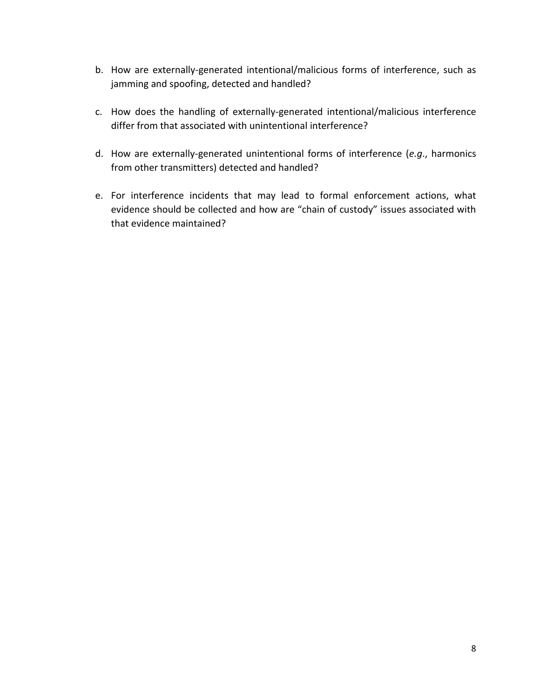- b. How are externally-generated intentional/malicious forms of interference, such as jamming and spoofing, detected and handled?
- c. How does the handling of externally-generated intentional/malicious interference differ from that associated with unintentional interference?
- d. How are externally-generated unintentional forms of interference (*e.g*., harmonics from other transmitters) detected and handled?
- e. For interference incidents that may lead to formal enforcement actions, what evidence should be collected and how are "chain of custody" issues associated with that evidence maintained?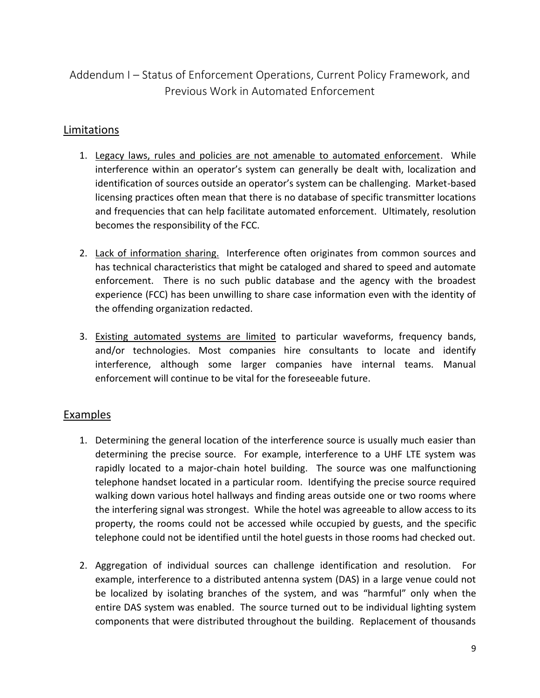# <span id="page-8-0"></span>Addendum I – Status of Enforcement Operations, Current Policy Framework, and Previous Work in Automated Enforcement

### Limitations

- 1. Legacy laws, rules and policies are not amenable to automated enforcement. While interference within an operator's system can generally be dealt with, localization and identification of sources outside an operator's system can be challenging. Market-based licensing practices often mean that there is no database of specific transmitter locations and frequencies that can help facilitate automated enforcement. Ultimately, resolution becomes the responsibility of the FCC.
- 2. Lack of information sharing. Interference often originates from common sources and has technical characteristics that might be cataloged and shared to speed and automate enforcement. There is no such public database and the agency with the broadest experience (FCC) has been unwilling to share case information even with the identity of the offending organization redacted.
- 3. Existing automated systems are limited to particular waveforms, frequency bands, and/or technologies. Most companies hire consultants to locate and identify interference, although some larger companies have internal teams. Manual enforcement will continue to be vital for the foreseeable future.

## Examples

- 1. Determining the general location of the interference source is usually much easier than determining the precise source. For example, interference to a UHF LTE system was rapidly located to a major-chain hotel building. The source was one malfunctioning telephone handset located in a particular room. Identifying the precise source required walking down various hotel hallways and finding areas outside one or two rooms where the interfering signal was strongest. While the hotel was agreeable to allow access to its property, the rooms could not be accessed while occupied by guests, and the specific telephone could not be identified until the hotel guests in those rooms had checked out.
- 2. Aggregation of individual sources can challenge identification and resolution. For example, interference to a distributed antenna system (DAS) in a large venue could not be localized by isolating branches of the system, and was "harmful" only when the entire DAS system was enabled. The source turned out to be individual lighting system components that were distributed throughout the building. Replacement of thousands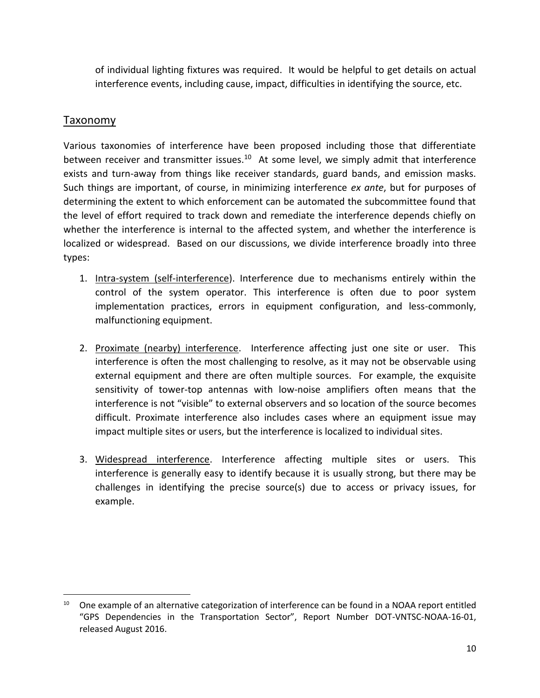of individual lighting fixtures was required. It would be helpful to get details on actual interference events, including cause, impact, difficulties in identifying the source, etc.

### Taxonomy

 $\overline{a}$ 

Various taxonomies of interference have been proposed including those that differentiate between receiver and transmitter issues.<sup>10</sup> At some level, we simply admit that interference exists and turn-away from things like receiver standards, guard bands, and emission masks. Such things are important, of course, in minimizing interference *ex ante*, but for purposes of determining the extent to which enforcement can be automated the subcommittee found that the level of effort required to track down and remediate the interference depends chiefly on whether the interference is internal to the affected system, and whether the interference is localized or widespread. Based on our discussions, we divide interference broadly into three types:

- 1. Intra-system (self-interference). Interference due to mechanisms entirely within the control of the system operator. This interference is often due to poor system implementation practices, errors in equipment configuration, and less-commonly, malfunctioning equipment.
- 2. Proximate (nearby) interference. Interference affecting just one site or user. This interference is often the most challenging to resolve, as it may not be observable using external equipment and there are often multiple sources. For example, the exquisite sensitivity of tower-top antennas with low-noise amplifiers often means that the interference is not "visible" to external observers and so location of the source becomes difficult. Proximate interference also includes cases where an equipment issue may impact multiple sites or users, but the interference is localized to individual sites.
- 3. Widespread interference. Interference affecting multiple sites or users. This interference is generally easy to identify because it is usually strong, but there may be challenges in identifying the precise source(s) due to access or privacy issues, for example.

 $10$  One example of an alternative categorization of interference can be found in a NOAA report entitled "GPS Dependencies in the Transportation Sector", Report Number DOT-VNTSC-NOAA-16-01, released August 2016.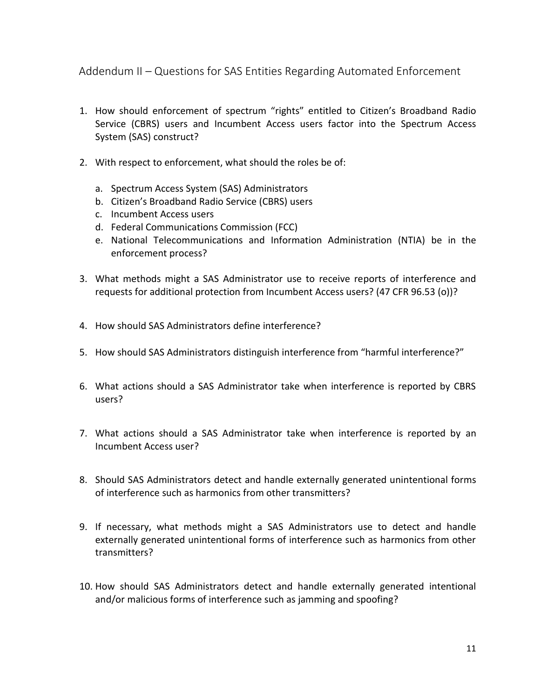<span id="page-10-0"></span>Addendum II – Questions for SAS Entities Regarding Automated Enforcement

- 1. How should enforcement of spectrum "rights" entitled to Citizen's Broadband Radio Service (CBRS) users and Incumbent Access users factor into the Spectrum Access System (SAS) construct?
- 2. With respect to enforcement, what should the roles be of:
	- a. Spectrum Access System (SAS) Administrators
	- b. Citizen's Broadband Radio Service (CBRS) users
	- c. Incumbent Access users
	- d. Federal Communications Commission (FCC)
	- e. National Telecommunications and Information Administration (NTIA) be in the enforcement process?
- 3. What methods might a SAS Administrator use to receive reports of interference and requests for additional protection from Incumbent Access users? (47 CFR 96.53 (o))?
- 4. How should SAS Administrators define interference?
- 5. How should SAS Administrators distinguish interference from "harmful interference?"
- 6. What actions should a SAS Administrator take when interference is reported by CBRS users?
- 7. What actions should a SAS Administrator take when interference is reported by an Incumbent Access user?
- 8. Should SAS Administrators detect and handle externally generated unintentional forms of interference such as harmonics from other transmitters?
- 9. If necessary, what methods might a SAS Administrators use to detect and handle externally generated unintentional forms of interference such as harmonics from other transmitters?
- 10. How should SAS Administrators detect and handle externally generated intentional and/or malicious forms of interference such as jamming and spoofing?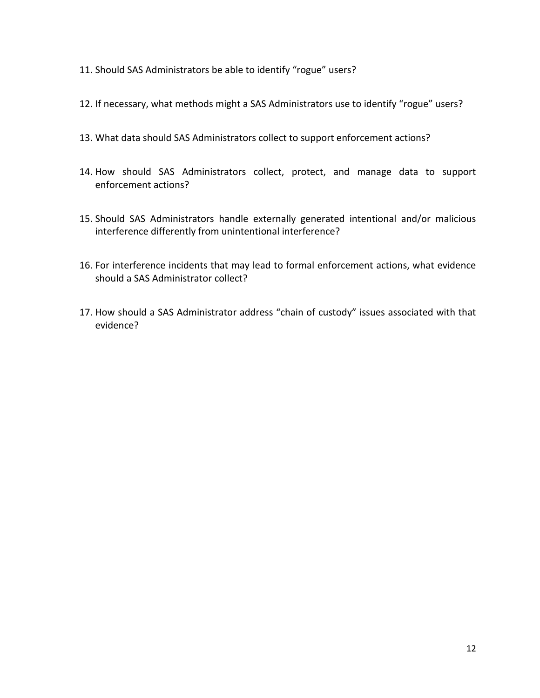- 11. Should SAS Administrators be able to identify "rogue" users?
- 12. If necessary, what methods might a SAS Administrators use to identify "rogue" users?
- 13. What data should SAS Administrators collect to support enforcement actions?
- 14. How should SAS Administrators collect, protect, and manage data to support enforcement actions?
- 15. Should SAS Administrators handle externally generated intentional and/or malicious interference differently from unintentional interference?
- 16. For interference incidents that may lead to formal enforcement actions, what evidence should a SAS Administrator collect?
- 17. How should a SAS Administrator address "chain of custody" issues associated with that evidence?